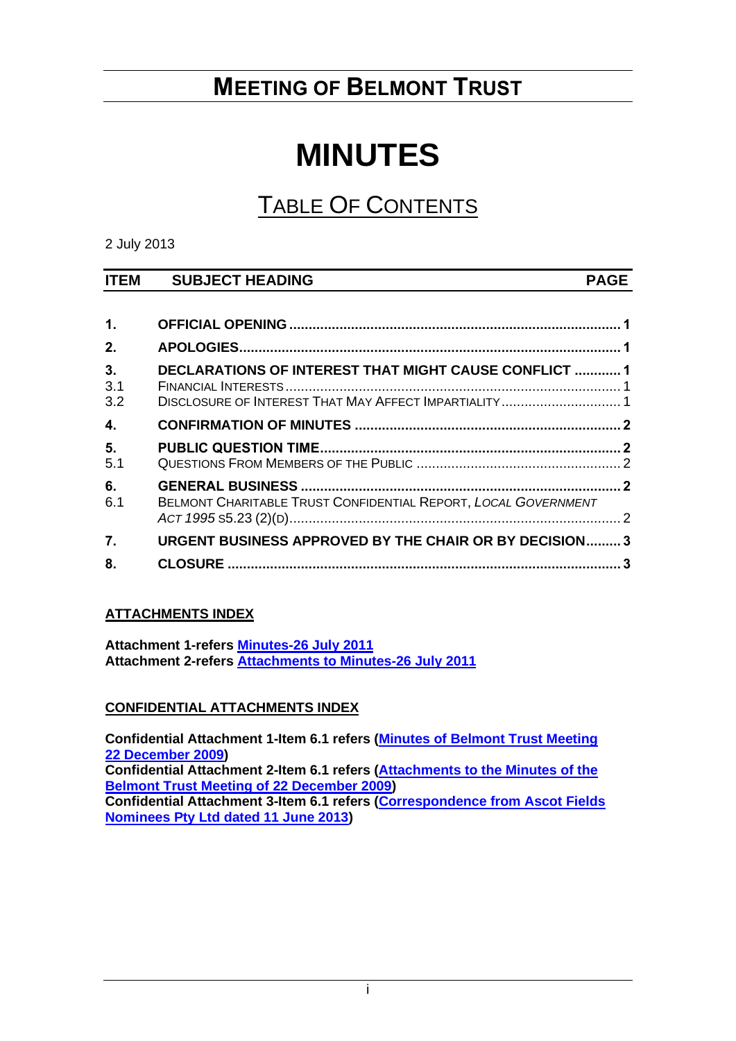## **MEETING OF BELMONT TRUST**

# **MINUTES**

## TABLE OF CONTENTS

#### 2 July 2013

### **ITEM SUBJECT HEADING PAGE**

| 1.               |                                                                                                                       |  |
|------------------|-----------------------------------------------------------------------------------------------------------------------|--|
| 2.               |                                                                                                                       |  |
| 3.<br>3.1<br>3.2 | <b>DECLARATIONS OF INTEREST THAT MIGHT CAUSE CONFLICT  1</b><br>DISCLOSURE OF INTEREST THAT MAY AFFECT IMPARTIALITY 1 |  |
| 4.               |                                                                                                                       |  |
| 5.<br>5.1        |                                                                                                                       |  |
| 6.<br>6.1        | BELMONT CHARITABLE TRUST CONFIDENTIAL REPORT, LOCAL GOVERNMENT                                                        |  |
| $\overline{7}$ . | <b>URGENT BUSINESS APPROVED BY THE CHAIR OR BY DECISION 3</b>                                                         |  |
| 8.               |                                                                                                                       |  |

### **ATTACHMENTS INDEX**

**Attachment 1-refers [Minutes-26 July 2011](https://www.belmont.wa.gov.au/docs/ecm/Belmont%20Trust%20Meeting%202%20July%202013%20Attachments) Attachment 2-refers [Attachments to Minutes-26 July 2011](https://www.belmont.wa.gov.au/docs/ecm/Belmont%20Trust%20Meeting%202%20July%202013%20Attachments)**

### **CONFIDENTIAL ATTACHMENTS INDEX**

**Confidential Attachment 1-Item 6.1 refers [\(Minutes of Belmont Trust Meeting](https://www.belmont.wa.gov.au/docs/ecm/Belmont%20Trust%20Meeting%202%20July%202013%20Confidential%20Attachments) [22 December 2009\)](https://www.belmont.wa.gov.au/docs/ecm/Belmont%20Trust%20Meeting%202%20July%202013%20Confidential%20Attachments) Confidential Attachment 2-Item 6.1 refers [\(Attachments to the Minutes of the](https://www.belmont.wa.gov.au/docs/ecm/Belmont%20Trust%20Meeting%202%20July%202013%20Confidential%20Attachments)  [Belmont Trust Meeting of 22 December 2009\)](https://www.belmont.wa.gov.au/docs/ecm/Belmont%20Trust%20Meeting%202%20July%202013%20Confidential%20Attachments) Confidential Attachment 3-Item 6.1 refers [\(Correspondence from Ascot Fields](https://www.belmont.wa.gov.au/docs/ecm/Belmont%20Trust%20Meeting%202%20July%202013%20Confidential%20Attachments)  [Nominees Pty Ltd dated 11 June 2013\)](https://www.belmont.wa.gov.au/docs/ecm/Belmont%20Trust%20Meeting%202%20July%202013%20Confidential%20Attachments)**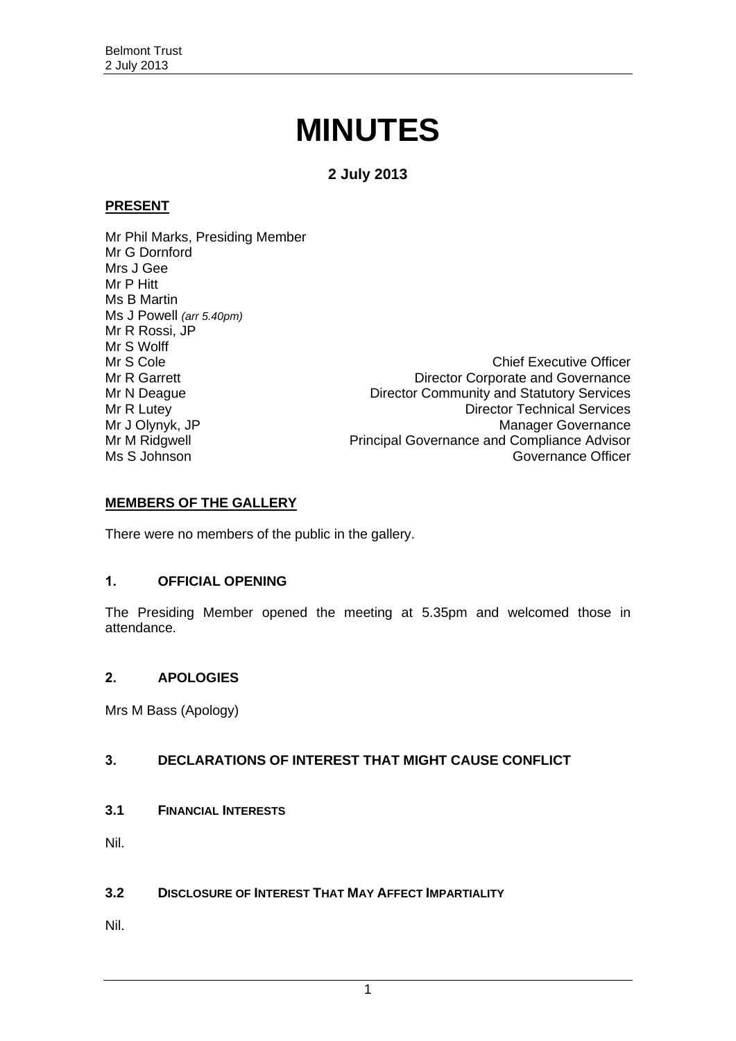# **MINUTES**

**2 July 2013**

#### **PRESENT**

Mr Phil Marks, Presiding Member Mr G Dornford Mrs J Gee Mr P Hitt Ms B Martin Ms J Powell *(arr 5.40pm)* Mr R Rossi, JP Mr S Wolff

Mr S Cole Chief Executive Officer Mr R Garrett **Director Corporate and Governance** Mr N Deague **Director Community and Statutory Services** Mr R Lutey **Director Technical Services** Mr J Olynyk, JP<br>Manager Governance<br>Mr M Ridgwell **Mr M Ridgwell** Principal Governance and Compliance Advisor Mr M Ridgwell **Mr M Ridgwell**<br>Ms S Johnson Ms S Johnson Governance Officer

### **MEMBERS OF THE GALLERY**

There were no members of the public in the gallery.

### <span id="page-1-0"></span>**1. OFFICIAL OPENING**

The Presiding Member opened the meeting at 5.35pm and welcomed those in attendance.

### <span id="page-1-1"></span>**2. APOLOGIES**

Mrs M Bass (Apology)

### <span id="page-1-2"></span>**3. DECLARATIONS OF INTEREST THAT MIGHT CAUSE CONFLICT**

<span id="page-1-3"></span>**3.1 FINANCIAL INTERESTS**

Nil.

### <span id="page-1-4"></span>**3.2 DISCLOSURE OF INTEREST THAT MAY AFFECT IMPARTIALITY**

Nil.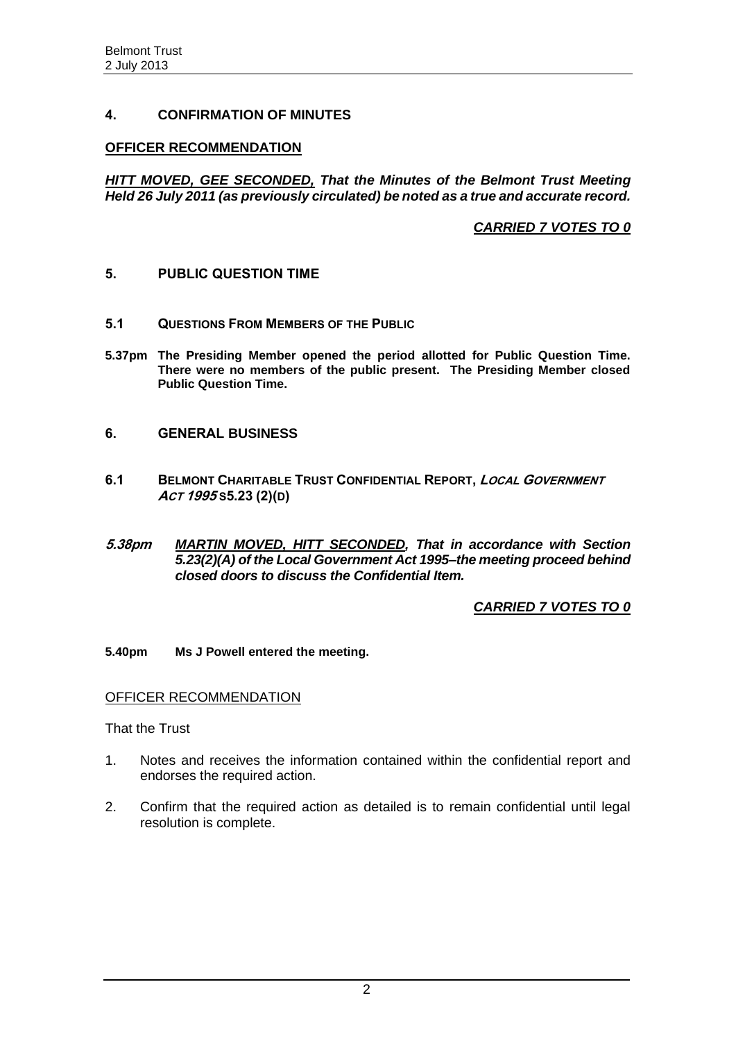#### <span id="page-2-0"></span>**4. CONFIRMATION OF MINUTES**

#### **OFFICER RECOMMENDATION**

*HITT MOVED, GEE SECONDED, That the Minutes of the Belmont Trust Meeting Held 26 July 2011 (as previously circulated) be noted as a true and accurate record.*

*CARRIED 7 VOTES TO 0*

#### <span id="page-2-1"></span>**5. PUBLIC QUESTION TIME**

- <span id="page-2-2"></span>**5.1 QUESTIONS FROM MEMBERS OF THE PUBLIC**
- **5.37pm The Presiding Member opened the period allotted for Public Question Time. There were no members of the public present. The Presiding Member closed Public Question Time.**

#### <span id="page-2-3"></span>**6. GENERAL BUSINESS**

- <span id="page-2-4"></span>**6.1 BELMONT CHARITABLE TRUST CONFIDENTIAL REPORT, LOCAL GOVERNMENT ACT 1995 S5.23 (2)(D)**
- **5.38pm** *MARTIN MOVED, HITT SECONDED, That in accordance with Section 5.23(2)(A) of the Local Government Act 1995–the meeting proceed behind closed doors to discuss the Confidential Item.*

*CARRIED 7 VOTES TO 0*

**5.40pm Ms J Powell entered the meeting.**

#### OFFICER RECOMMENDATION

That the Trust

- 1. Notes and receives the information contained within the confidential report and endorses the required action.
- 2. Confirm that the required action as detailed is to remain confidential until legal resolution is complete.